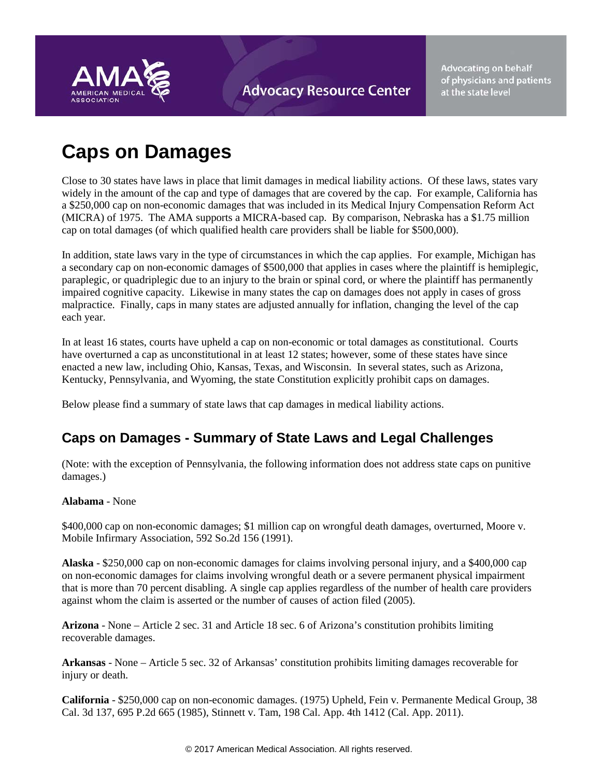

**Advocating on behalf** of physicians and patients at the state level

# **Caps on Damages**

Close to 30 states have laws in place that limit damages in medical liability actions. Of these laws, states vary widely in the amount of the cap and type of damages that are covered by the cap. For example, California has a \$250,000 cap on non-economic damages that was included in its Medical Injury Compensation Reform Act (MICRA) of 1975. The AMA supports a MICRA-based cap. By comparison, Nebraska has a \$1.75 million cap on total damages (of which qualified health care providers shall be liable for \$500,000).

In addition, state laws vary in the type of circumstances in which the cap applies. For example, Michigan has a secondary cap on non-economic damages of \$500,000 that applies in cases where the plaintiff is hemiplegic, paraplegic, or quadriplegic due to an injury to the brain or spinal cord, or where the plaintiff has permanently impaired cognitive capacity. Likewise in many states the cap on damages does not apply in cases of gross malpractice. Finally, caps in many states are adjusted annually for inflation, changing the level of the cap each year.

In at least 16 states, courts have upheld a cap on non-economic or total damages as constitutional. Courts have overturned a cap as unconstitutional in at least 12 states; however, some of these states have since enacted a new law, including Ohio, Kansas, Texas, and Wisconsin. In several states, such as Arizona, Kentucky, Pennsylvania, and Wyoming, the state Constitution explicitly prohibit caps on damages.

Below please find a summary of state laws that cap damages in medical liability actions.

# **Caps on Damages - Summary of State Laws and Legal Challenges**

(Note: with the exception of Pennsylvania, the following information does not address state caps on punitive damages.)

# **Alabama** - None

\$400,000 cap on non-economic damages; \$1 million cap on wrongful death damages, overturned, Moore v. Mobile Infirmary Association, 592 So.2d 156 (1991).

**Alaska** - \$250,000 cap on non-economic damages for claims involving personal injury, and a \$400,000 cap on non-economic damages for claims involving wrongful death or a severe permanent physical impairment that is more than 70 percent disabling. A single cap applies regardless of the number of health care providers against whom the claim is asserted or the number of causes of action filed (2005).

**Arizona** - None – Article 2 sec. 31 and Article 18 sec. 6 of Arizona's constitution prohibits limiting recoverable damages.

**Arkansas** - None – Article 5 sec. 32 of Arkansas' constitution prohibits limiting damages recoverable for injury or death.

**California** - \$250,000 cap on non-economic damages. (1975) Upheld, Fein v. Permanente Medical Group, 38 Cal. 3d 137, 695 P.2d 665 (1985), Stinnett v. Tam, 198 Cal. App. 4th 1412 (Cal. App. 2011).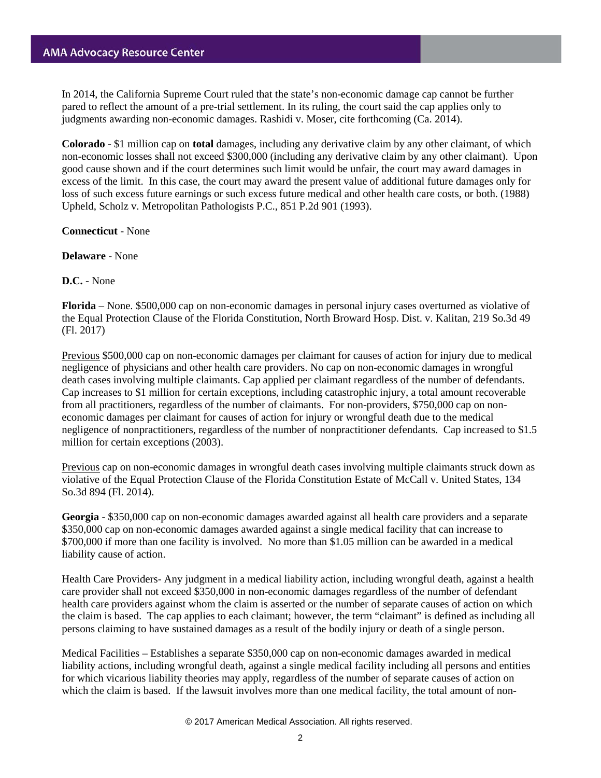In 2014, the California Supreme Court ruled that the state's non-economic damage cap cannot be further pared to reflect the amount of a pre-trial settlement. In its ruling, the court said the cap applies only to judgments awarding non-economic damages. Rashidi v. Moser, cite forthcoming (Ca. 2014).

**Colorado** - \$1 million cap on **total** damages, including any derivative claim by any other claimant, of which non-economic losses shall not exceed \$300,000 (including any derivative claim by any other claimant). Upon good cause shown and if the court determines such limit would be unfair, the court may award damages in excess of the limit. In this case, the court may award the present value of additional future damages only for loss of such excess future earnings or such excess future medical and other health care costs, or both. (1988) Upheld, Scholz v. Metropolitan Pathologists P.C., 851 P.2d 901 (1993).

**Connecticut** - None

**Delaware** - None

**D.C.** - None

**Florida** – None. \$500,000 cap on non-economic damages in personal injury cases overturned as violative of the Equal Protection Clause of the Florida Constitution, North Broward Hosp. Dist. v. Kalitan, 219 So.3d 49 (Fl. 2017)

Previous \$500,000 cap on non-economic damages per claimant for causes of action for injury due to medical negligence of physicians and other health care providers. No cap on non-economic damages in wrongful death cases involving multiple claimants. Cap applied per claimant regardless of the number of defendants. Cap increases to \$1 million for certain exceptions, including catastrophic injury, a total amount recoverable from all practitioners, regardless of the number of claimants. For non-providers, \$750,000 cap on noneconomic damages per claimant for causes of action for injury or wrongful death due to the medical negligence of nonpractitioners, regardless of the number of nonpractitioner defendants. Cap increased to \$1.5 million for certain exceptions (2003).

Previous cap on non-economic damages in wrongful death cases involving multiple claimants struck down as violative of the Equal Protection Clause of the Florida Constitution Estate of McCall v. United States, 134 So.3d 894 (Fl. 2014).

**Georgia** - \$350,000 cap on non-economic damages awarded against all health care providers and a separate \$350,000 cap on non-economic damages awarded against a single medical facility that can increase to \$700,000 if more than one facility is involved. No more than \$1.05 million can be awarded in a medical liability cause of action.

Health Care Providers- Any judgment in a medical liability action, including wrongful death, against a health care provider shall not exceed \$350,000 in non-economic damages regardless of the number of defendant health care providers against whom the claim is asserted or the number of separate causes of action on which the claim is based. The cap applies to each claimant; however, the term "claimant" is defined as including all persons claiming to have sustained damages as a result of the bodily injury or death of a single person.

Medical Facilities – Establishes a separate \$350,000 cap on non-economic damages awarded in medical liability actions, including wrongful death, against a single medical facility including all persons and entities for which vicarious liability theories may apply, regardless of the number of separate causes of action on which the claim is based. If the lawsuit involves more than one medical facility, the total amount of non-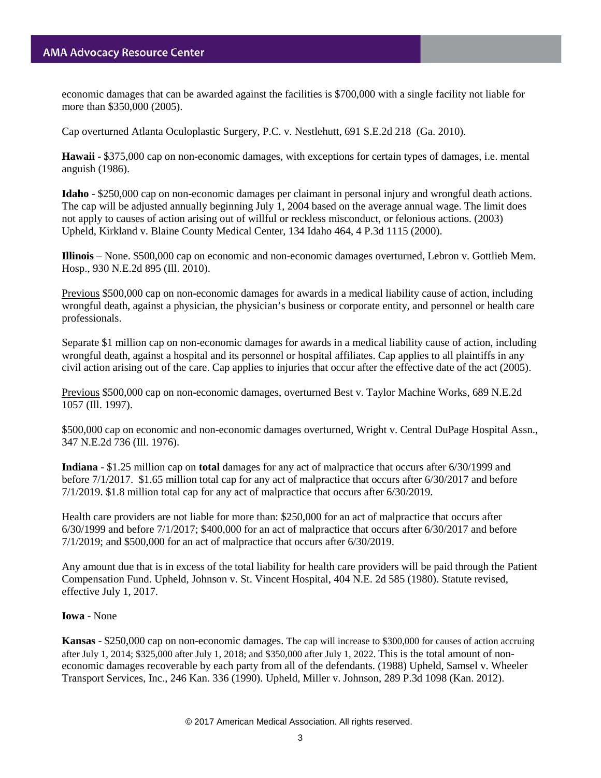economic damages that can be awarded against the facilities is \$700,000 with a single facility not liable for more than \$350,000 (2005).

Cap overturned Atlanta Oculoplastic Surgery, P.C. v. Nestlehutt, 691 S.E.2d 218 (Ga. 2010).

**Hawaii** - \$375,000 cap on non-economic damages, with exceptions for certain types of damages, i.e. mental anguish (1986).

**Idaho** - \$250,000 cap on non-economic damages per claimant in personal injury and wrongful death actions. The cap will be adjusted annually beginning July 1, 2004 based on the average annual wage. The limit does not apply to causes of action arising out of willful or reckless misconduct, or felonious actions. (2003) Upheld, Kirkland v. Blaine County Medical Center, 134 Idaho 464, 4 P.3d 1115 (2000).

**Illinois** – None. \$500,000 cap on economic and non-economic damages overturned, Lebron v. Gottlieb Mem. Hosp., 930 N.E.2d 895 (Ill. 2010).

Previous \$500,000 cap on non-economic damages for awards in a medical liability cause of action, including wrongful death, against a physician, the physician's business or corporate entity, and personnel or health care professionals.

Separate \$1 million cap on non-economic damages for awards in a medical liability cause of action, including wrongful death, against a hospital and its personnel or hospital affiliates. Cap applies to all plaintiffs in any civil action arising out of the care. Cap applies to injuries that occur after the effective date of the act (2005).

Previous \$500,000 cap on non-economic damages, overturned Best v. Taylor Machine Works, 689 N.E.2d 1057 (Ill. 1997).

\$500,000 cap on economic and non-economic damages overturned, Wright v. Central DuPage Hospital Assn., 347 N.E.2d 736 (Ill. 1976).

**Indiana** - \$1.25 million cap on **total** damages for any act of malpractice that occurs after 6/30/1999 and before 7/1/2017. \$1.65 million total cap for any act of malpractice that occurs after 6/30/2017 and before 7/1/2019. \$1.8 million total cap for any act of malpractice that occurs after 6/30/2019.

Health care providers are not liable for more than: \$250,000 for an act of malpractice that occurs after 6/30/1999 and before 7/1/2017; \$400,000 for an act of malpractice that occurs after 6/30/2017 and before 7/1/2019; and \$500,000 for an act of malpractice that occurs after 6/30/2019.

Any amount due that is in excess of the total liability for health care providers will be paid through the Patient Compensation Fund. Upheld, Johnson v. St. Vincent Hospital, 404 N.E. 2d 585 (1980). Statute revised, effective July 1, 2017.

### **Iowa** - None

**Kansas** - \$250,000 cap on non-economic damages. The cap will increase to \$300,000 for causes of action accruing after July 1, 2014; \$325,000 after July 1, 2018; and \$350,000 after July 1, 2022. This is the total amount of noneconomic damages recoverable by each party from all of the defendants. (1988) Upheld, Samsel v. Wheeler Transport Services, Inc., 246 Kan. 336 (1990). Upheld, Miller v. Johnson, 289 P.3d 1098 (Kan. 2012).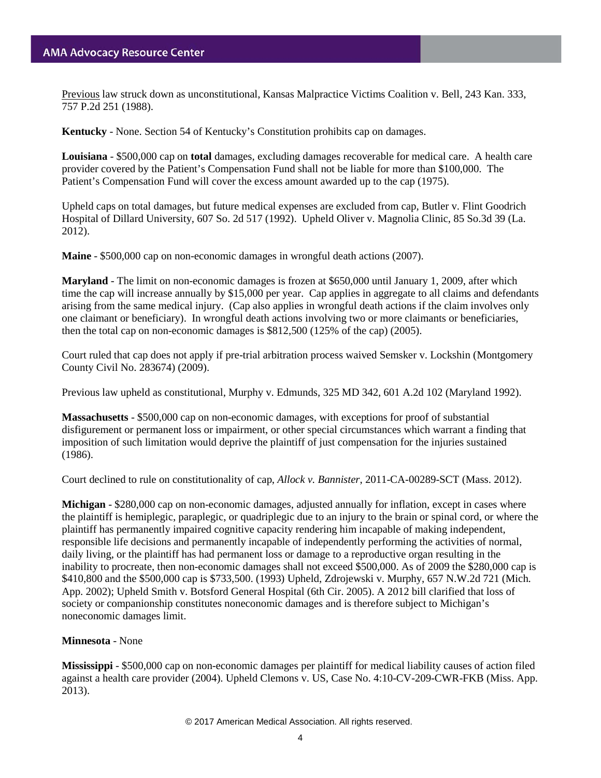# **AMA Advocacy Resource Center**

Previous law struck down as unconstitutional, Kansas Malpractice Victims Coalition v. Bell, 243 Kan. 333, 757 P.2d 251 (1988).

**Kentucky** - None. Section 54 of Kentucky's Constitution prohibits cap on damages.

**Louisiana** - \$500,000 cap on **total** damages, excluding damages recoverable for medical care. A health care provider covered by the Patient's Compensation Fund shall not be liable for more than \$100,000. The Patient's Compensation Fund will cover the excess amount awarded up to the cap (1975).

Upheld caps on total damages, but future medical expenses are excluded from cap, Butler v. Flint Goodrich Hospital of Dillard University, 607 So. 2d 517 (1992). Upheld [Oliver v. Magnolia Clinic,](https://www.lexis.com/research/buttonTFLink?_session=a3399e30-8e47-11e1-9356-88f0812eb4c1.1.1.60552.+.1.0&wchp=dGLbVzV-zSkAz&_b=0_1370123805&_xfercite=%3ccite%20cc%3d%22USA%22%3e%3c!%5BCDATA%5B2011%20La.%20App.%20LEXIS%201013%5D%5D%3e%3c%2fcite%3e&_lexsee=SHMID&_lnlni=&_butType=3&_butStat=254&_butNum=12&_butinfo=%3ccite%20cc%3d%22USA%22%3e%3c!%5BCDATA%5B2012%20La.%20LEXIS%20506%5D%5D%3e%3c%2fcite%3e&prevCase=Oliver%20v.%20Magnolia%20Clinic&prevCite=2011%20La.%20App.%20LEXIS%201013&_md5=68366ADBD134D382556AAF0A8ABE78C8) 85 So.3d 39 (La. 2012).

**Maine** - \$500,000 cap on non-economic damages in wrongful death actions (2007).

**Maryland** - The limit on non-economic damages is frozen at \$650,000 until January 1, 2009, after which time the cap will increase annually by \$15,000 per year. Cap applies in aggregate to all claims and defendants arising from the same medical injury. (Cap also applies in wrongful death actions if the claim involves only one claimant or beneficiary). In wrongful death actions involving two or more claimants or beneficiaries, then the total cap on non-economic damages is \$812,500 (125% of the cap) (2005).

Court ruled that cap does not apply if pre-trial arbitration process waived Semsker v. Lockshin (Montgomery County Civil No. 283674) (2009).

Previous law upheld as constitutional, Murphy v. Edmunds, 325 MD 342, 601 A.2d 102 (Maryland 1992).

**Massachusetts** - \$500,000 cap on non-economic damages, with exceptions for proof of substantial disfigurement or permanent loss or impairment, or other special circumstances which warrant a finding that imposition of such limitation would deprive the plaintiff of just compensation for the injuries sustained (1986).

Court declined to rule on constitutionality of cap, *Allock v. Bannister*, 2011-CA-00289-SCT (Mass. 2012).

**Michigan** - \$280,000 cap on non-economic damages, adjusted annually for inflation, except in cases where the plaintiff is hemiplegic, paraplegic, or quadriplegic due to an injury to the brain or spinal cord, or where the plaintiff has permanently impaired cognitive capacity rendering him incapable of making independent, responsible life decisions and permanently incapable of independently performing the activities of normal, daily living, or the plaintiff has had permanent loss or damage to a reproductive organ resulting in the inability to procreate, then non-economic damages shall not exceed \$500,000. As of 2009 the \$280,000 cap is \$410,800 and the \$500,000 cap is \$733,500. (1993) Upheld, Zdrojewski v. Murphy, 657 N.W.2d 721 (Mich. App. 2002); Upheld Smith v. Botsford General Hospital (6th Cir. 2005). A 2012 bill clarified that loss of society or companionship constitutes noneconomic damages and is therefore subject to Michigan's noneconomic damages limit.

#### **Minnesota** - None

**Mississippi** - \$500,000 cap on non-economic damages per plaintiff for medical liability causes of action filed against a health care provider (2004). Upheld Clemons v. US, Case No. 4:10-CV-209-CWR-FKB (Miss. App. 2013).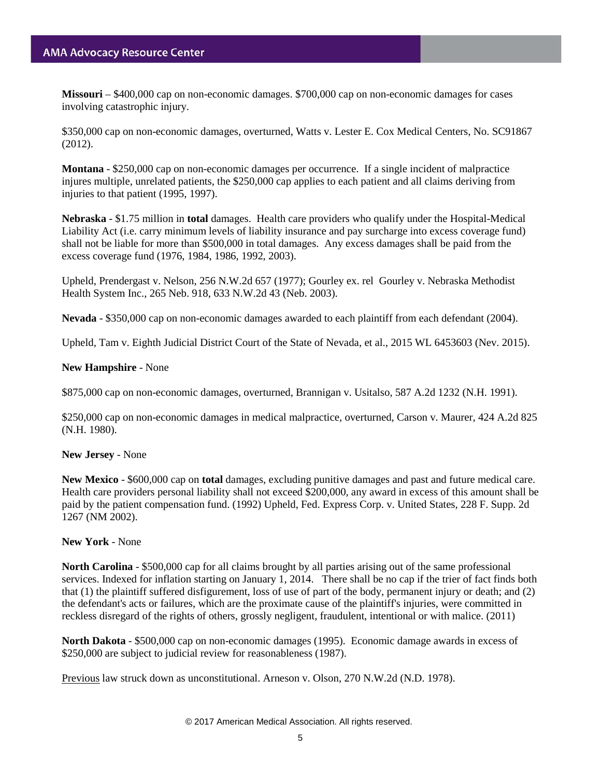**Missouri** – \$400,000 cap on non-economic damages. \$700,000 cap on non-economic damages for cases involving catastrophic injury.

\$350,000 cap on non-economic damages, overturned, Watts v. Lester E. Cox Medical Centers, No. SC91867 (2012).

**Montana** - \$250,000 cap on non-economic damages per occurrence. If a single incident of malpractice injures multiple, unrelated patients, the \$250,000 cap applies to each patient and all claims deriving from injuries to that patient (1995, 1997).

**Nebraska** - \$1.75 million in **total** damages. Health care providers who qualify under the Hospital-Medical Liability Act (i.e. carry minimum levels of liability insurance and pay surcharge into excess coverage fund) shall not be liable for more than \$500,000 in total damages. Any excess damages shall be paid from the excess coverage fund (1976, 1984, 1986, 1992, 2003).

Upheld, Prendergast v. Nelson, 256 N.W.2d 657 (1977); Gourley ex. rel Gourley v. Nebraska Methodist Health System Inc., 265 Neb. 918, 633 N.W.2d 43 (Neb. 2003).

**Nevada** - \$350,000 cap on non-economic damages awarded to each plaintiff from each defendant (2004).

Upheld, Tam v. Eighth Judicial District Court of the State of Nevada, et al., 2015 WL 6453603 (Nev. 2015).

#### **New Hampshire** - None

\$875,000 cap on non-economic damages, overturned, Brannigan v. Usitalso, 587 A.2d 1232 (N.H. 1991).

\$250,000 cap on non-economic damages in medical malpractice, overturned, Carson v. Maurer, 424 A.2d 825 (N.H. 1980).

#### **New Jersey** - None

**New Mexico** - \$600,000 cap on **total** damages, excluding punitive damages and past and future medical care. Health care providers personal liability shall not exceed \$200,000, any award in excess of this amount shall be paid by the patient compensation fund. (1992) Upheld, Fed. Express Corp. v. United States, 228 F. Supp. 2d 1267 (NM 2002).

#### **New York** - None

**North Carolina** - \$500,000 cap for all claims brought by all parties arising out of the same professional services. Indexed for inflation starting on January 1, 2014. There shall be no cap if the trier of fact finds both that (1) the plaintiff suffered disfigurement, loss of use of part of the body, permanent injury or death; and (2) the defendant's acts or failures, which are the proximate cause of the plaintiff's injuries, were committed in reckless disregard of the rights of others, grossly negligent, fraudulent, intentional or with malice. (2011)

**North Dakota** - \$500,000 cap on non-economic damages (1995). Economic damage awards in excess of \$250,000 are subject to judicial review for reasonableness (1987).

Previous law struck down as unconstitutional. Arneson v. Olson, 270 N.W.2d (N.D. 1978).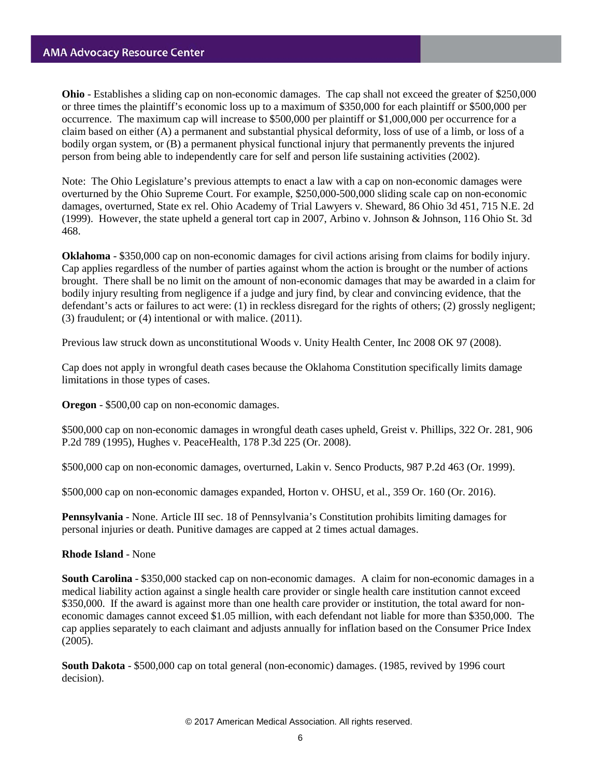**Ohio** - Establishes a sliding cap on non-economic damages. The cap shall not exceed the greater of \$250,000 or three times the plaintiff's economic loss up to a maximum of \$350,000 for each plaintiff or \$500,000 per occurrence. The maximum cap will increase to \$500,000 per plaintiff or \$1,000,000 per occurrence for a claim based on either (A) a permanent and substantial physical deformity, loss of use of a limb, or loss of a bodily organ system, or (B) a permanent physical functional injury that permanently prevents the injured person from being able to independently care for self and person life sustaining activities (2002).

Note: The Ohio Legislature's previous attempts to enact a law with a cap on non-economic damages were overturned by the Ohio Supreme Court. For example, \$250,000-500,000 sliding scale cap on non-economic damages, overturned, State ex rel. Ohio Academy of Trial Lawyers v. Sheward, 86 Ohio 3d 451, 715 N.E. 2d (1999). However, the state upheld a general tort cap in 2007, Arbino v. Johnson & Johnson, 116 Ohio St. 3d 468.

**Oklahoma** - \$350,000 cap on non-economic damages for civil actions arising from claims for bodily injury. Cap applies regardless of the number of parties against whom the action is brought or the number of actions brought. There shall be no limit on the amount of non-economic damages that may be awarded in a claim for bodily injury resulting from negligence if a judge and jury find, by clear and convincing evidence, that the defendant's acts or failures to act were: (1) in reckless disregard for the rights of others; (2) grossly negligent; (3) fraudulent; or (4) intentional or with malice. (2011).

Previous law struck down as unconstitutional Woods v. Unity Health Center, Inc 2008 OK 97 (2008).

Cap does not apply in wrongful death cases because the Oklahoma Constitution specifically limits damage limitations in those types of cases.

**Oregon** - \$500,00 cap on non-economic damages.

\$500,000 cap on non-economic damages in wrongful death cases upheld, Greist v. Phillips, 322 Or. 281, 906 P.2d 789 (1995), Hughes v. PeaceHealth, 178 P.3d 225 (Or. 2008).

\$500,000 cap on non-economic damages, overturned, Lakin v. Senco Products, 987 P.2d 463 (Or. 1999).

\$500,000 cap on non-economic damages expanded, Horton v. OHSU, et al., 359 Or. 160 (Or. 2016).

**Pennsylvania** - None. Article III sec. 18 of Pennsylvania's Constitution prohibits limiting damages for personal injuries or death. Punitive damages are capped at 2 times actual damages.

**Rhode Island** - None

**South Carolina** - \$350,000 stacked cap on non-economic damages. A claim for non-economic damages in a medical liability action against a single health care provider or single health care institution cannot exceed \$350,000. If the award is against more than one health care provider or institution, the total award for noneconomic damages cannot exceed \$1.05 million, with each defendant not liable for more than \$350,000. The cap applies separately to each claimant and adjusts annually for inflation based on the Consumer Price Index (2005).

**South Dakota** - \$500,000 cap on total general (non-economic) damages. (1985, revived by 1996 court decision).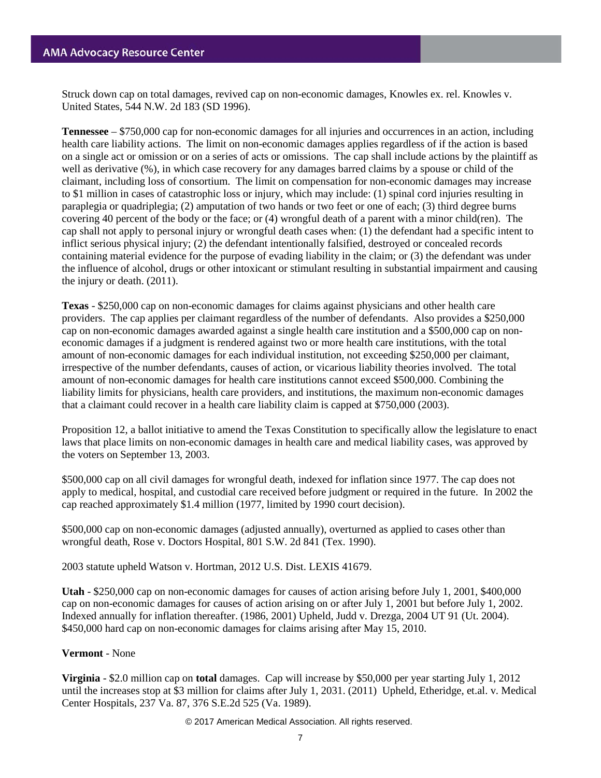Struck down cap on total damages, revived cap on non-economic damages, Knowles ex. rel. Knowles v. United States, 544 N.W. 2d 183 (SD 1996).

**Tennessee** – \$750,000 cap for non-economic damages for all injuries and occurrences in an action, including health care liability actions. The limit on non-economic damages applies regardless of if the action is based on a single act or omission or on a series of acts or omissions. The cap shall include actions by the plaintiff as well as derivative (%), in which case recovery for any damages barred claims by a spouse or child of the claimant, including loss of consortium. The limit on compensation for non-economic damages may increase to \$1 million in cases of catastrophic loss or injury, which may include: (1) spinal cord injuries resulting in paraplegia or quadriplegia; (2) amputation of two hands or two feet or one of each; (3) third degree burns covering 40 percent of the body or the face; or (4) wrongful death of a parent with a minor child(ren). The cap shall not apply to personal injury or wrongful death cases when: (1) the defendant had a specific intent to inflict serious physical injury; (2) the defendant intentionally falsified, destroyed or concealed records containing material evidence for the purpose of evading liability in the claim; or (3) the defendant was under the influence of alcohol, drugs or other intoxicant or stimulant resulting in substantial impairment and causing the injury or death. (2011).

**Texas** - \$250,000 cap on non-economic damages for claims against physicians and other health care providers. The cap applies per claimant regardless of the number of defendants. Also provides a \$250,000 cap on non-economic damages awarded against a single health care institution and a \$500,000 cap on noneconomic damages if a judgment is rendered against two or more health care institutions, with the total amount of non-economic damages for each individual institution, not exceeding \$250,000 per claimant, irrespective of the number defendants, causes of action, or vicarious liability theories involved. The total amount of non-economic damages for health care institutions cannot exceed \$500,000. Combining the liability limits for physicians, health care providers, and institutions, the maximum non-economic damages that a claimant could recover in a health care liability claim is capped at \$750,000 (2003).

Proposition 12, a ballot initiative to amend the Texas Constitution to specifically allow the legislature to enact laws that place limits on non-economic damages in health care and medical liability cases, was approved by the voters on September 13, 2003.

\$500,000 cap on all civil damages for wrongful death, indexed for inflation since 1977. The cap does not apply to medical, hospital, and custodial care received before judgment or required in the future. In 2002 the cap reached approximately \$1.4 million (1977, limited by 1990 court decision).

\$500,000 cap on non-economic damages (adjusted annually), overturned as applied to cases other than wrongful death, Rose v. Doctors Hospital, 801 S.W. 2d 841 (Tex. 1990).

2003 statute upheld Watson v. Hortman, 2012 U.S. Dist. LEXIS 41679.

**Utah** - \$250,000 cap on non-economic damages for causes of action arising before July 1, 2001, \$400,000 cap on non-economic damages for causes of action arising on or after July 1, 2001 but before July 1, 2002. Indexed annually for inflation thereafter. (1986, 2001) Upheld, Judd v. Drezga, 2004 UT 91 (Ut. 2004). \$450,000 hard cap on non-economic damages for claims arising after May 15, 2010.

# **Vermont** - None

**Virginia** - \$2.0 million cap on **total** damages. Cap will increase by \$50,000 per year starting July 1, 2012 until the increases stop at \$3 million for claims after July 1, 2031. (2011) Upheld, Etheridge, et.al. v. Medical Center Hospitals, 237 Va. 87, 376 S.E.2d 525 (Va. 1989).